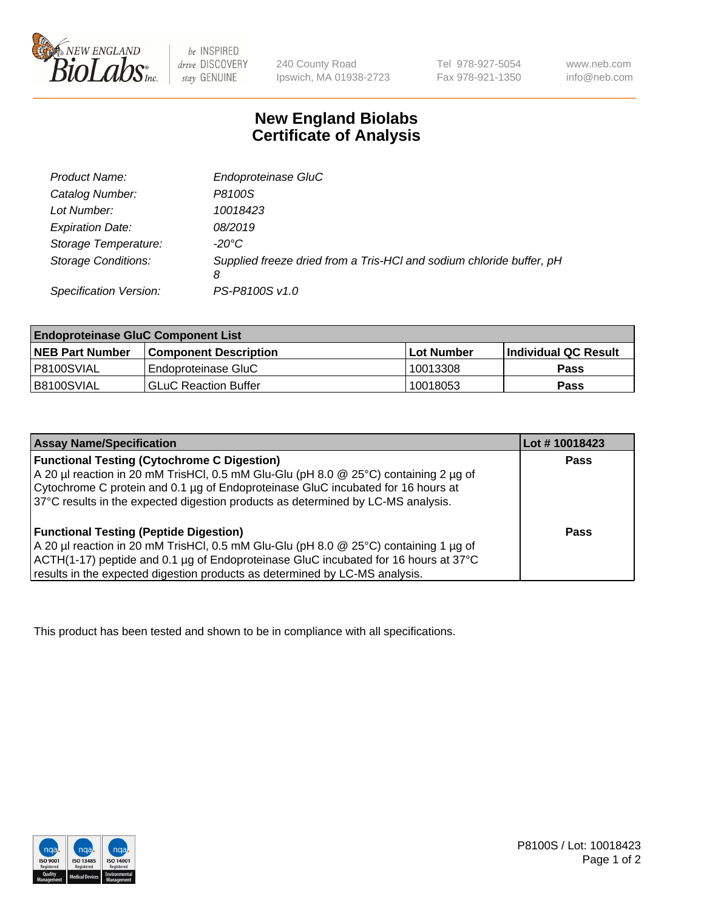

 $be$  INSPIRED drive DISCOVERY stay GENUINE

240 County Road Ipswich, MA 01938-2723 Tel 978-927-5054 Fax 978-921-1350 www.neb.com info@neb.com

## **New England Biolabs Certificate of Analysis**

| Product Name:              | Endoproteinase GluC                                                       |
|----------------------------|---------------------------------------------------------------------------|
| Catalog Number:            | P8100S                                                                    |
| Lot Number:                | 10018423                                                                  |
| <b>Expiration Date:</b>    | 08/2019                                                                   |
| Storage Temperature:       | $-20^{\circ}$ C                                                           |
| <b>Storage Conditions:</b> | Supplied freeze dried from a Tris-HCI and sodium chloride buffer, pH<br>8 |
| Specification Version:     | PS-P8100S v1.0                                                            |

| <b>Endoproteinase GluC Component List</b> |                              |            |                       |  |
|-------------------------------------------|------------------------------|------------|-----------------------|--|
| <b>NEB Part Number</b>                    | <b>Component Description</b> | Lot Number | ∣Individual QC Result |  |
| P8100SVIAL                                | Endoproteinase GluC          | 10013308   | <b>Pass</b>           |  |
| B8100SVIAL                                | <b>GLuC Reaction Buffer</b>  | 10018053   | Pass                  |  |

| <b>Assay Name/Specification</b>                                                      | Lot #10018423 |
|--------------------------------------------------------------------------------------|---------------|
| <b>Functional Testing (Cytochrome C Digestion)</b>                                   | <b>Pass</b>   |
| A 20 µl reaction in 20 mM TrisHCl, 0.5 mM Glu-Glu (pH 8.0 @ 25°C) containing 2 µg of |               |
| Cytochrome C protein and 0.1 µg of Endoproteinase GluC incubated for 16 hours at     |               |
| 37°C results in the expected digestion products as determined by LC-MS analysis.     |               |
|                                                                                      |               |
| <b>Functional Testing (Peptide Digestion)</b>                                        | Pass          |
| A 20 µl reaction in 20 mM TrisHCl, 0.5 mM Glu-Glu (pH 8.0 @ 25°C) containing 1 µg of |               |
| ACTH(1-17) peptide and 0.1 µg of Endoproteinase GluC incubated for 16 hours at 37°C  |               |
| results in the expected digestion products as determined by LC-MS analysis.          |               |

This product has been tested and shown to be in compliance with all specifications.